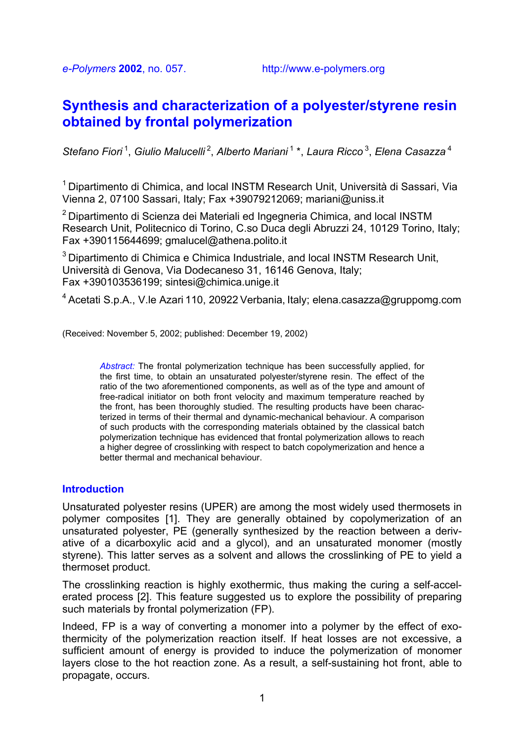*e-Polymers* **2002**, no. 057. http://www.e-polymers.org

# **Synthesis and characterization of a polyester/styrene resin obtained by frontal polymerization**

*Stefano Fiori* 1, *Giulio Malucelli* 2, *Alberto Mariani* 1 \*, *Laura Ricco* 3, *Elena Casazza*<sup>4</sup>

<sup>1</sup> Dipartimento di Chimica, and local INSTM Research Unit, Università di Sassari, Via Vienna 2, 07100 Sassari, Italy; Fax +39079212069; mariani@uniss.it

 $2$  Dipartimento di Scienza dei Materiali ed Ingegneria Chimica, and local INSTM Research Unit, Politecnico di Torino, C.so Duca degli Abruzzi 24, 10129 Torino, Italy; Fax +390115644699; gmalucel@athena.polito.it

<sup>3</sup> Dipartimento di Chimica e Chimica Industriale, and local INSTM Research Unit, Università di Genova, Via Dodecaneso 31, 16146 Genova, Italy; Fax +390103536199; sintesi@chimica.unige.it

4 Acetati S.p.A., V.le Azari 110, 20922 Verbania, Italy; elena.casazza@gruppomg.com

(Received: November 5, 2002; published: December 19, 2002)

*Abstract:* The frontal polymerization technique has been successfully applied, for the first time, to obtain an unsaturated polyester/styrene resin. The effect of the ratio of the two aforementioned components, as well as of the type and amount of free-radical initiator on both front velocity and maximum temperature reached by the front, has been thoroughly studied. The resulting products have been characterized in terms of their thermal and dynamic-mechanical behaviour. A comparison of such products with the corresponding materials obtained by the classical batch polymerization technique has evidenced that frontal polymerization allows to reach a higher degree of crosslinking with respect to batch copolymerization and hence a better thermal and mechanical behaviour.

#### **Introduction**

Unsaturated polyester resins (UPER) are among the most widely used thermosets in polymer composites [1]. They are generally obtained by copolymerization of an unsaturated polyester, PE (generally synthesized by the reaction between a derivative of a dicarboxylic acid and a glycol), and an unsaturated monomer (mostly styrene). This latter serves as a solvent and allows the crosslinking of PE to yield a thermoset product.

The crosslinking reaction is highly exothermic, thus making the curing a self-accelerated process [2]. This feature suggested us to explore the possibility of preparing such materials by frontal polymerization (FP).

Indeed, FP is a way of converting a monomer into a polymer by the effect of exothermicity of the polymerization reaction itself. If heat losses are not excessive, a sufficient amount of energy is provided to induce the polymerization of monomer layers close to the hot reaction zone. As a result, a self-sustaining hot front, able to propagate, occurs.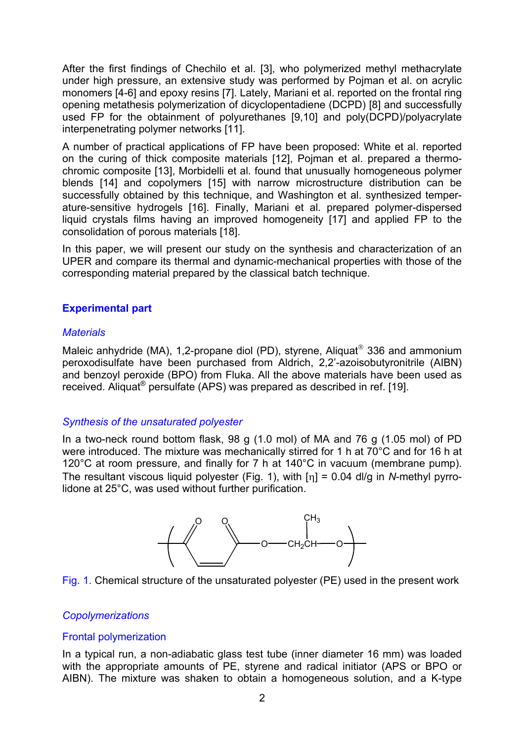After the first findings of Chechilo et al. [3], who polymerized methyl methacrylate under high pressure, an extensive study was performed by Pojman et al. on acrylic monomers [4-6] and epoxy resins [7]. Lately, Mariani et al. reported on the frontal ring opening metathesis polymerization of dicyclopentadiene (DCPD) [8] and successfully used FP for the obtainment of polyurethanes [9,10] and poly(DCPD)/polyacrylate interpenetrating polymer networks [11].

A number of practical applications of FP have been proposed: White et al. reported on the curing of thick composite materials [12], Pojman et al. prepared a thermochromic composite [13], Morbidelli et al. found that unusually homogeneous polymer blends [14] and copolymers [15] with narrow microstructure distribution can be successfully obtained by this technique, and Washington et al. synthesized temperature-sensitive hydrogels [16]. Finally, Mariani et al. prepared polymer-dispersed liquid crystals films having an improved homogeneity [17] and applied FP to the consolidation of porous materials [18].

In this paper, we will present our study on the synthesis and characterization of an UPER and compare its thermal and dynamic-mechanical properties with those of the corresponding material prepared by the classical batch technique.

## **Experimental part**

## *Materials*

Maleic anhydride (MA), 1,2-propane diol (PD), styrene, Aliquat<sup>®</sup> 336 and ammonium peroxodisulfate have been purchased from Aldrich, 2,2'-azoisobutyronitrile (AIBN) and benzoyl peroxide (BPO) from Fluka. All the above materials have been used as received. Aliquat® persulfate (APS) was prepared as described in ref. [19].

#### *Synthesis of the unsaturated polyester*

In a two-neck round bottom flask, 98 g (1.0 mol) of MA and 76 g (1.05 mol) of PD were introduced. The mixture was mechanically stirred for 1 h at 70°C and for 16 h at 120°C at room pressure, and finally for 7 h at 140°C in vacuum (membrane pump). The resultant viscous liquid polyester (Fig. 1), with [η] = 0.04 dl/g in *N*-methyl pyrrolidone at 25°C, was used without further purification.





## *Copolymerizations*

#### Frontal polymerization

In a typical run, a non-adiabatic glass test tube (inner diameter 16 mm) was loaded with the appropriate amounts of PE, styrene and radical initiator (APS or BPO or AIBN). The mixture was shaken to obtain a homogeneous solution, and a K-type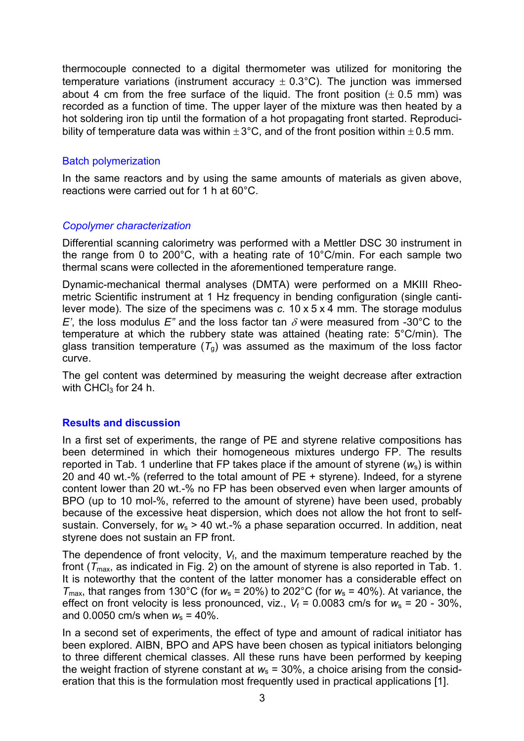thermocouple connected to a digital thermometer was utilized for monitoring the temperature variations (instrument accuracy  $\pm$  0.3°C). The junction was immersed about 4 cm from the free surface of the liquid. The front position  $(\pm 0.5 \text{ mm})$  was recorded as a function of time. The upper layer of the mixture was then heated by a hot soldering iron tip until the formation of a hot propagating front started. Reproducibility of temperature data was within  $\pm 3^{\circ}$ C, and of the front position within  $\pm 0.5$  mm.

### Batch polymerization

In the same reactors and by using the same amounts of materials as given above, reactions were carried out for 1 h at 60°C.

## *Copolymer characterization*

Differential scanning calorimetry was performed with a Mettler DSC 30 instrument in the range from 0 to 200°C, with a heating rate of 10°C/min. For each sample two thermal scans were collected in the aforementioned temperature range.

Dynamic-mechanical thermal analyses (DMTA) were performed on a MKIII Rheometric Scientific instrument at 1 Hz frequency in bending configuration (single cantilever mode). The size of the specimens was *c.* 10 x 5 x 4 mm. The storage modulus *E*', the loss modulus *E*<sup>"</sup> and the loss factor tan  $\delta$  were measured from -30<sup>°</sup>C to the temperature at which the rubbery state was attained (heating rate: 5°C/min). The glass transition temperature  $(T<sub>g</sub>)$  was assumed as the maximum of the loss factor curve.

The gel content was determined by measuring the weight decrease after extraction with  $CHCl<sub>3</sub>$  for 24 h.

### **Results and discussion**

In a first set of experiments, the range of PE and styrene relative compositions has been determined in which their homogeneous mixtures undergo FP. The results reported in Tab. 1 underline that FP takes place if the amount of styrene (*w*s) is within 20 and 40 wt.-% (referred to the total amount of PE + styrene). Indeed, for a styrene content lower than 20 wt.-% no FP has been observed even when larger amounts of BPO (up to 10 mol-%, referred to the amount of styrene) have been used, probably because of the excessive heat dispersion, which does not allow the hot front to selfsustain. Conversely, for  $w_s > 40$  wt.-% a phase separation occurred. In addition, neat styrene does not sustain an FP front.

The dependence of front velocity,  $V_f$ , and the maximum temperature reached by the front (*T*max, as indicated in Fig. 2) on the amount of styrene is also reported in Tab. 1. It is noteworthy that the content of the latter monomer has a considerable effect on  $T_{\text{max}}$ , that ranges from 130°C (for  $w_s$  = 20%) to 202°C (for  $w_s$  = 40%). At variance, the effect on front velocity is less pronounced, viz.,  $V_f = 0.0083$  cm/s for  $w_s = 20 - 30\%$ . and 0.0050 cm/s when *w*s = 40%.

In a second set of experiments, the effect of type and amount of radical initiator has been explored. AIBN, BPO and APS have been chosen as typical initiators belonging to three different chemical classes. All these runs have been performed by keeping the weight fraction of styrene constant at  $w_s = 30\%$ , a choice arising from the consideration that this is the formulation most frequently used in practical applications [1].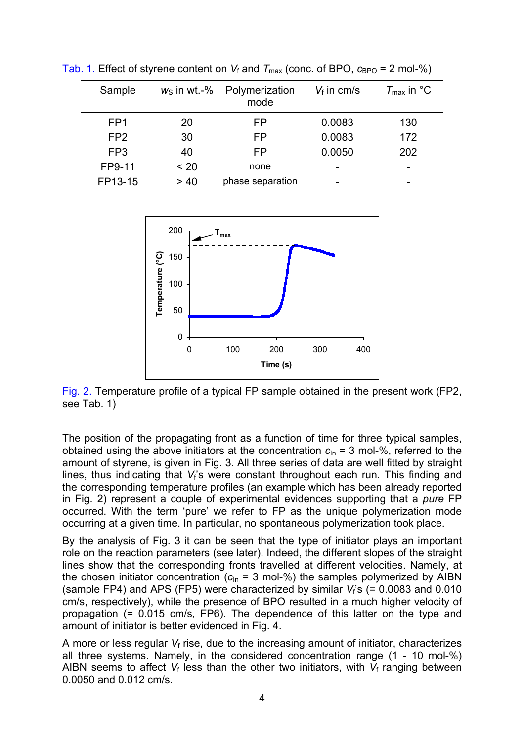| Sample          | $w_S$ in wt.-% | Polymerization<br>mode | $V_f$ in cm/s | $T_{\text{max}}$ in $^{\circ}$ C |
|-----------------|----------------|------------------------|---------------|----------------------------------|
| FP <sub>1</sub> | 20             | FP                     | 0.0083        | 130                              |
| FP <sub>2</sub> | 30             | FP                     | 0.0083        | 172                              |
| FP <sub>3</sub> | 40             | FP                     | 0.0050        | 202                              |
| FP9-11          | < 20           | none                   |               |                                  |
| FP13-15         | > 40           | phase separation       | -             |                                  |

Tab. 1. Effect of styrene content on  $V_f$  and  $T_{\text{max}}$  (conc. of BPO,  $c_{\text{BPO}} = 2$  mol-%)



Fig. 2. Temperature profile of a typical FP sample obtained in the present work (FP2, see Tab. 1)

The position of the propagating front as a function of time for three typical samples, obtained using the above initiators at the concentration  $c<sub>ln</sub> = 3$  mol-%, referred to the amount of styrene, is given in Fig. 3. All three series of data are well fitted by straight lines, thus indicating that *V<sub>i</sub>*'s were constant throughout each run. This finding and the corresponding temperature profiles (an example which has been already reported in Fig. 2) represent a couple of experimental evidences supporting that a *pure* FP occurred. With the term 'pure' we refer to FP as the unique polymerization mode occurring at a given time. In particular, no spontaneous polymerization took place.

By the analysis of Fig. 3 it can be seen that the type of initiator plays an important role on the reaction parameters (see later). Indeed, the different slopes of the straight lines show that the corresponding fronts travelled at different velocities. Namely, at the chosen initiator concentration  $(c<sub>ln</sub> = 3$  mol-%) the samples polymerized by AIBN (sample FP4) and APS (FP5) were characterized by similar  $V_f$ 's  $(= 0.0083$  and  $0.010$ cm/s, respectively), while the presence of BPO resulted in a much higher velocity of propagation (= 0.015 cm/s, FP6). The dependence of this latter on the type and amount of initiator is better evidenced in Fig. 4.

A more or less regular *V*f rise, due to the increasing amount of initiator, characterizes all three systems. Namely, in the considered concentration range (1 - 10 mol-%) AIBN seems to affect  $V_f$  less than the other two initiators, with  $V_f$  ranging between 0.0050 and 0.012 cm/s.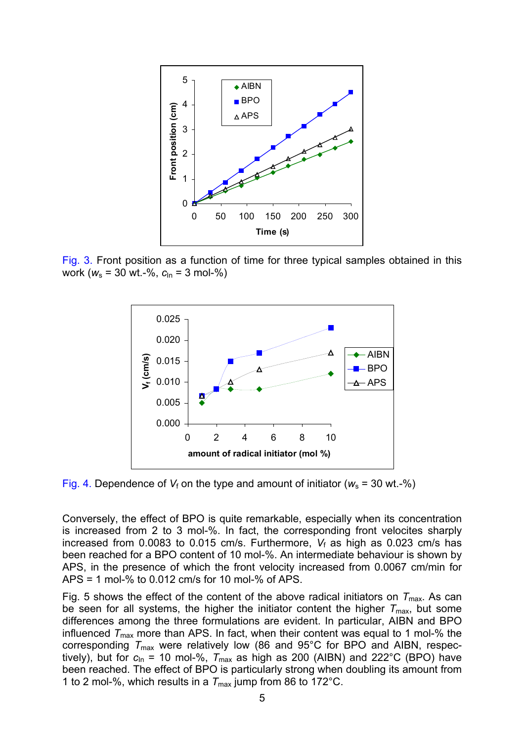

Fig. 3. Front position as a function of time for three typical samples obtained in this work (*w*s = 30 wt.-%, *c*In = 3 mol-%)



Fig. 4. Dependence of  $V_f$  on the type and amount of initiator ( $w_s$  = 30 wt.-%)

Conversely, the effect of BPO is quite remarkable, especially when its concentration is increased from 2 to 3 mol-%. In fact, the corresponding front velocites sharply increased from 0.0083 to 0.015 cm/s. Furthermore, *V*f as high as 0.023 cm/s has been reached for a BPO content of 10 mol-%. An intermediate behaviour is shown by APS, in the presence of which the front velocity increased from 0.0067 cm/min for APS = 1 mol-% to 0.012 cm/s for 10 mol-% of APS.

Fig. 5 shows the effect of the content of the above radical initiators on  $T_{\text{max}}$ . As can be seen for all systems, the higher the initiator content the higher  $T_{\text{max}}$ , but some differences among the three formulations are evident. In particular, AIBN and BPO influenced  $T_{\text{max}}$  more than APS. In fact, when their content was equal to 1 mol-% the corresponding *T*max were relatively low (86 and 95°C for BPO and AIBN, respectively), but for  $c_{\text{In}}$  = 10 mol-%,  $T_{\text{max}}$  as high as 200 (AIBN) and 222°C (BPO) have been reached. The effect of BPO is particularly strong when doubling its amount from 1 to 2 mol-%, which results in a  $T_{\text{max}}$  jump from 86 to 172<sup>o</sup>C.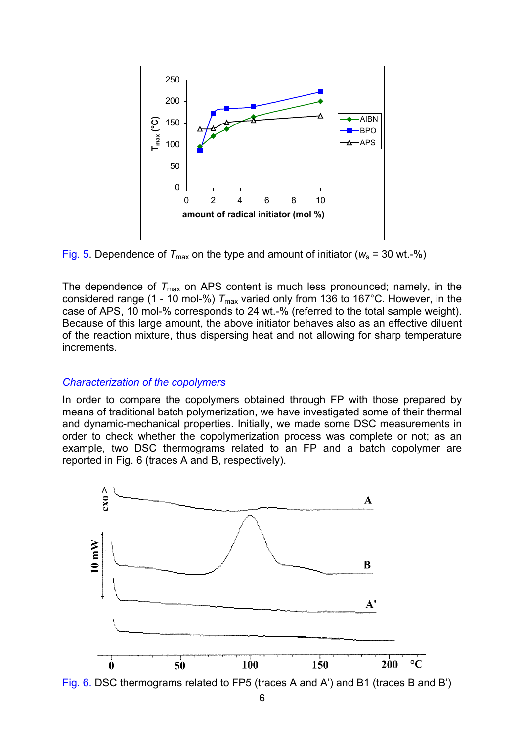

Fig. 5. Dependence of  $T_{\text{max}}$  on the type and amount of initiator ( $w_s$  = 30 wt.-%)

The dependence of  $T_{\text{max}}$  on APS content is much less pronounced; namely, in the considered range (1 - 10 mol-%)  $T_{\text{max}}$  varied only from 136 to 167°C. However, in the case of APS, 10 mol-% corresponds to 24 wt.-% (referred to the total sample weight). Because of this large amount, the above initiator behaves also as an effective diluent of the reaction mixture, thus dispersing heat and not allowing for sharp temperature increments.

#### *Characterization of the copolymers*

In order to compare the copolymers obtained through FP with those prepared by means of traditional batch polymerization, we have investigated some of their thermal and dynamic-mechanical properties. Initially, we made some DSC measurements in order to check whether the copolymerization process was complete or not; as an example, two DSC thermograms related to an FP and a batch copolymer are reported in Fig. 6 (traces A and B, respectively).



Fig. 6. DSC thermograms related to FP5 (traces A and A') and B1 (traces B and B')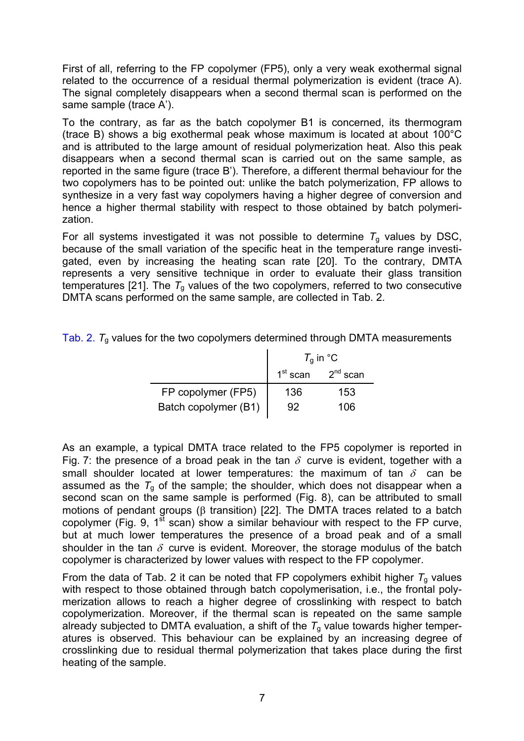First of all, referring to the FP copolymer (FP5), only a very weak exothermal signal related to the occurrence of a residual thermal polymerization is evident (trace A). The signal completely disappears when a second thermal scan is performed on the same sample (trace A').

To the contrary, as far as the batch copolymer B1 is concerned, its thermogram (trace B) shows a big exothermal peak whose maximum is located at about 100°C and is attributed to the large amount of residual polymerization heat. Also this peak disappears when a second thermal scan is carried out on the same sample, as reported in the same figure (trace B'). Therefore, a different thermal behaviour for the two copolymers has to be pointed out: unlike the batch polymerization, FP allows to synthesize in a very fast way copolymers having a higher degree of conversion and hence a higher thermal stability with respect to those obtained by batch polymerization.

For all systems investigated it was not possible to determine  $T<sub>q</sub>$  values by DSC, because of the small variation of the specific heat in the temperature range investigated, even by increasing the heating scan rate [20]. To the contrary, DMTA represents a very sensitive technique in order to evaluate their glass transition temperatures [21]. The  $T_q$  values of the two copolymers, referred to two consecutive DMTA scans performed on the same sample, are collected in Tab. 2.

|  |  |  | Tab. 2. $T_g$ values for the two copolymers determined through DMTA measurements |
|--|--|--|----------------------------------------------------------------------------------|
|  |  |  |                                                                                  |

|                      | $T_q$ in $^{\circ}$ C |                      |  |
|----------------------|-----------------------|----------------------|--|
|                      | $1st$ scan            | 2 <sup>nd</sup> scan |  |
| FP copolymer (FP5)   | 136                   | 153                  |  |
| Batch copolymer (B1) | 92                    | 106                  |  |

As an example, a typical DMTA trace related to the FP5 copolymer is reported in Fig. 7: the presence of a broad peak in the tan  $\delta$  curve is evident, together with a small shoulder located at lower temperatures: the maximum of tan  $\delta$  can be assumed as the  $T_q$  of the sample; the shoulder, which does not disappear when a second scan on the same sample is performed (Fig. 8), can be attributed to small motions of pendant groups (β transition) [22]. The DMTA traces related to a batch copolymer (Fig. 9,  $1^{st}$  scan) show a similar behaviour with respect to the FP curve, but at much lower temperatures the presence of a broad peak and of a small shoulder in the tan  $\delta$  curve is evident. Moreover, the storage modulus of the batch copolymer is characterized by lower values with respect to the FP copolymer.

From the data of Tab. 2 it can be noted that FP copolymers exhibit higher  $T_g$  values with respect to those obtained through batch copolymerisation, i.e., the frontal polymerization allows to reach a higher degree of crosslinking with respect to batch copolymerization. Moreover, if the thermal scan is repeated on the same sample already subjected to DMTA evaluation, a shift of the  $T<sub>q</sub>$  value towards higher temperatures is observed. This behaviour can be explained by an increasing degree of crosslinking due to residual thermal polymerization that takes place during the first heating of the sample.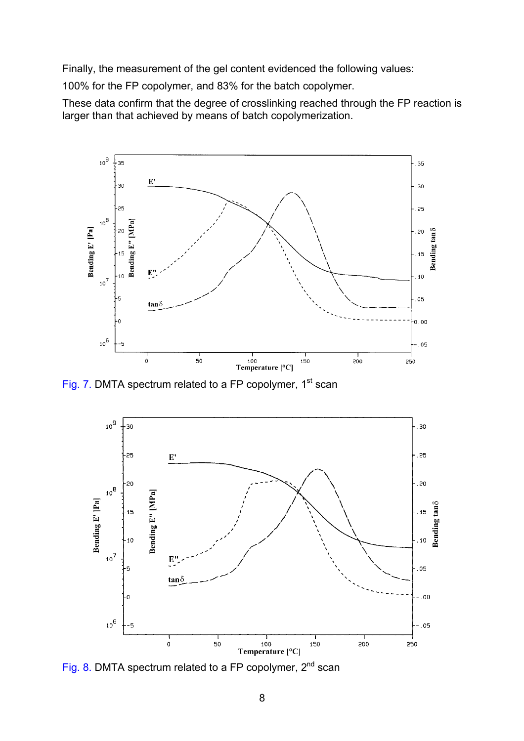Finally, the measurement of the gel content evidenced the following values:

100% for the FP copolymer, and 83% for the batch copolymer.

These data confirm that the degree of crosslinking reached through the FP reaction is larger than that achieved by means of batch copolymerization.



Fig. 7. DMTA spectrum related to a FP copolymer,  $1<sup>st</sup>$  scan



Fig. 8. DMTA spectrum related to a FP copolymer,  $2^{nd}$  scan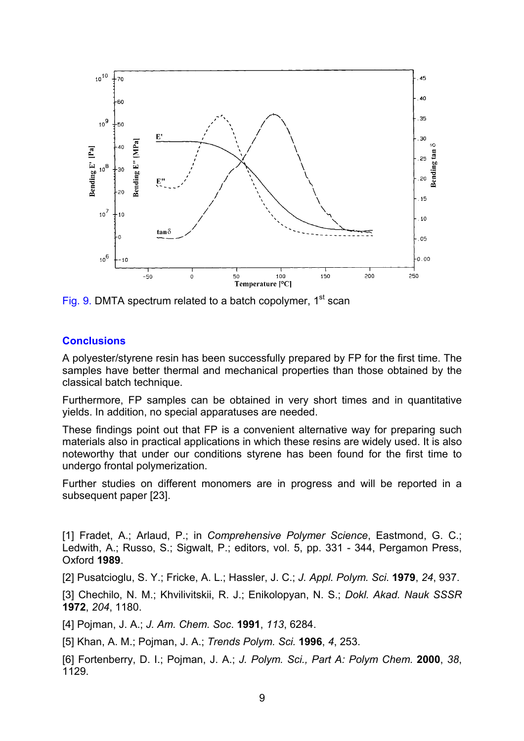

Fig. 9. DMTA spectrum related to a batch copolymer,  $1<sup>st</sup>$  scan

## **Conclusions**

A polyester/styrene resin has been successfully prepared by FP for the first time. The samples have better thermal and mechanical properties than those obtained by the classical batch technique.

Furthermore, FP samples can be obtained in very short times and in quantitative yields. In addition, no special apparatuses are needed.

These findings point out that FP is a convenient alternative way for preparing such materials also in practical applications in which these resins are widely used. It is also noteworthy that under our conditions styrene has been found for the first time to undergo frontal polymerization.

Further studies on different monomers are in progress and will be reported in a subsequent paper [23].

[1] Fradet, A.; Arlaud, P.; in *Comprehensive Polymer Science*, Eastmond, G. C.; Ledwith, A.; Russo, S.; Sigwalt, P.; editors, vol. 5, pp. 331 - 344, Pergamon Press, Oxford **1989**.

[2] Pusatcioglu, S. Y.; Fricke, A. L.; Hassler, J. C.; *J. Appl. Polym. Sci*. **1979**, *24*, 937.

[3] Chechilo, N. M.; Khvilivitskii, R. J.; Enikolopyan, N. S.; *Dokl. Akad. Nauk SSSR* **1972**, *204*, 1180.

[4] Pojman, J. A.; *J. Am. Chem. Soc*. **1991**, *113*, 6284.

[5] Khan, A. M.; Pojman, J. A.; *Trends Polym. Sci.* **1996**, *4*, 253.

[6] Fortenberry, D. I.; Pojman, J. A.; *J. Polym. Sci., Part A: Polym Chem.* **2000**, *38*,  $1129.$